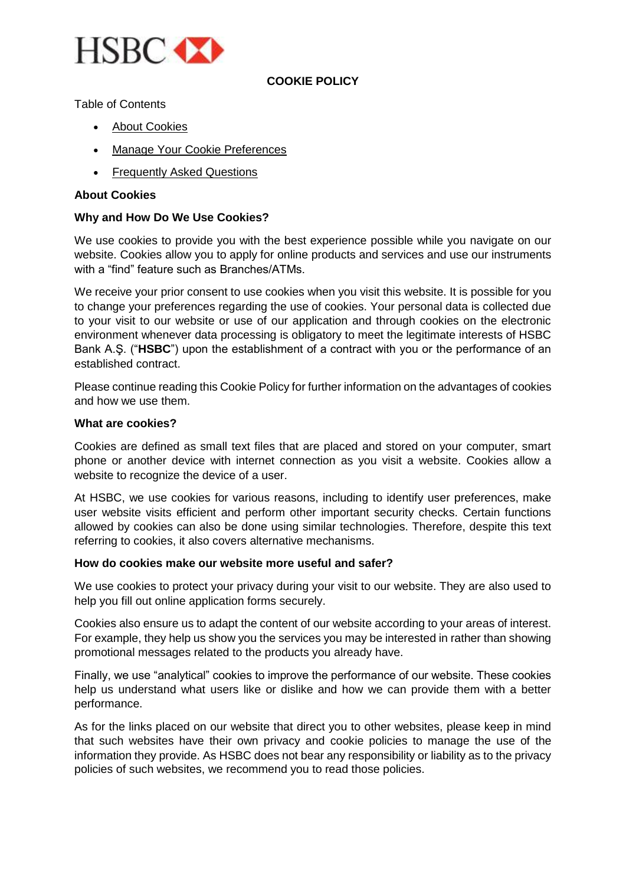

# **COOKIE POLICY**

Table of Contents

- About Cookies
- Manage Your Cookie Preferences
- Frequently Asked Questions

# **About Cookies**

## **Why and How Do We Use Cookies?**

We use cookies to provide you with the best experience possible while you navigate on our website. Cookies allow you to apply for online products and services and use our instruments with a "find" feature such as Branches/ATMs.

We receive your prior consent to use cookies when you visit this website. It is possible for you to change your preferences regarding the use of cookies. Your personal data is collected due to your visit to our website or use of our application and through cookies on the electronic environment whenever data processing is obligatory to meet the legitimate interests of HSBC Bank A.Ş. ("**HSBC**") upon the establishment of a contract with you or the performance of an established contract.

Please continue reading this Cookie Policy for further information on the advantages of cookies and how we use them.

### **What are cookies?**

Cookies are defined as small text files that are placed and stored on your computer, smart phone or another device with internet connection as you visit a website. Cookies allow a website to recognize the device of a user.

At HSBC, we use cookies for various reasons, including to identify user preferences, make user website visits efficient and perform other important security checks. Certain functions allowed by cookies can also be done using similar technologies. Therefore, despite this text referring to cookies, it also covers alternative mechanisms.

#### **How do cookies make our website more useful and safer?**

We use cookies to protect your privacy during your visit to our website. They are also used to help you fill out online application forms securely.

Cookies also ensure us to adapt the content of our website according to your areas of interest. For example, they help us show you the services you may be interested in rather than showing promotional messages related to the products you already have.

Finally, we use "analytical" cookies to improve the performance of our website. These cookies help us understand what users like or dislike and how we can provide them with a better performance.

As for the links placed on our website that direct you to other websites, please keep in mind that such websites have their own privacy and cookie policies to manage the use of the information they provide. As HSBC does not bear any responsibility or liability as to the privacy policies of such websites, we recommend you to read those policies.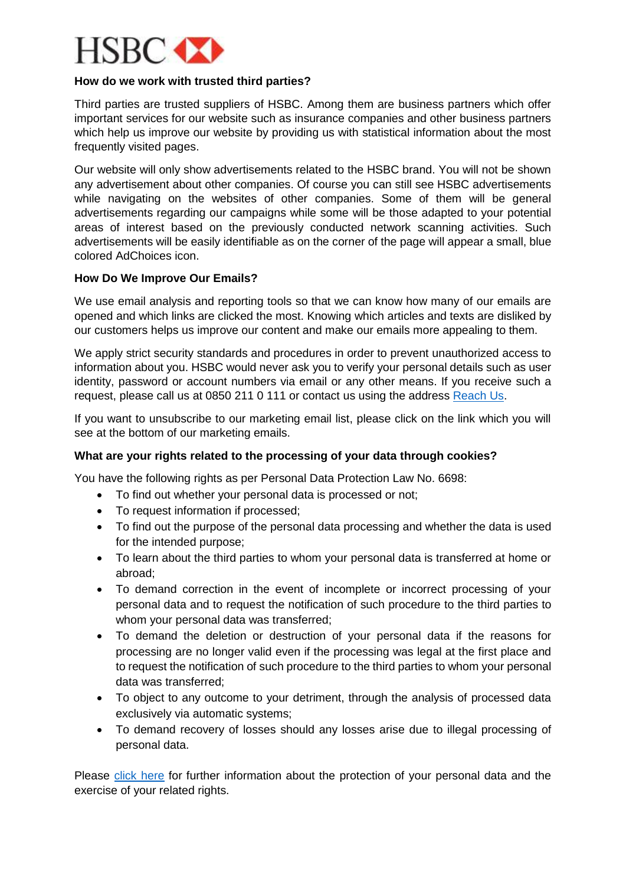

## **How do we work with trusted third parties?**

Third parties are trusted suppliers of HSBC. Among them are business partners which offer important services for our website such as insurance companies and other business partners which help us improve our website by providing us with statistical information about the most frequently visited pages.

Our website will only show advertisements related to the HSBC brand. You will not be shown any advertisement about other companies. Of course you can still see HSBC advertisements while navigating on the websites of other companies. Some of them will be general advertisements regarding our campaigns while some will be those adapted to your potential areas of interest based on the previously conducted network scanning activities. Such advertisements will be easily identifiable as on the corner of the page will appear a small, blue colored AdChoices icon.

## **How Do We Improve Our Emails?**

We use email analysis and reporting tools so that we can know how many of our emails are opened and which links are clicked the most. Knowing which articles and texts are disliked by our customers helps us improve our content and make our emails more appealing to them.

We apply strict security standards and procedures in order to prevent unauthorized access to information about you. HSBC would never ask you to verify your personal details such as user identity, password or account numbers via email or any other means. If you receive such a request, please call us at 0850 211 0 111 or contact us using the address [Reach Us.](https://forms.hsbc.com.tr/en/contact-us)

If you want to unsubscribe to our marketing email list, please click on the link which you will see at the bottom of our marketing emails.

# **What are your rights related to the processing of your data through cookies?**

You have the following rights as per Personal Data Protection Law No. 6698:

- To find out whether your personal data is processed or not;
- To request information if processed;
- To find out the purpose of the personal data processing and whether the data is used for the intended purpose;
- To learn about the third parties to whom your personal data is transferred at home or abroad;
- To demand correction in the event of incomplete or incorrect processing of your personal data and to request the notification of such procedure to the third parties to whom your personal data was transferred;
- To demand the deletion or destruction of your personal data if the reasons for processing are no longer valid even if the processing was legal at the first place and to request the notification of such procedure to the third parties to whom your personal data was transferred;
- To object to any outcome to your detriment, through the analysis of processed data exclusively via automatic systems;
- To demand recovery of losses should any losses arise due to illegal processing of personal data.

Please [click here](https://www.hsbc.com.tr/en/hsbc/personal-data-protection) for further information about the protection of your personal data and the exercise of your related rights.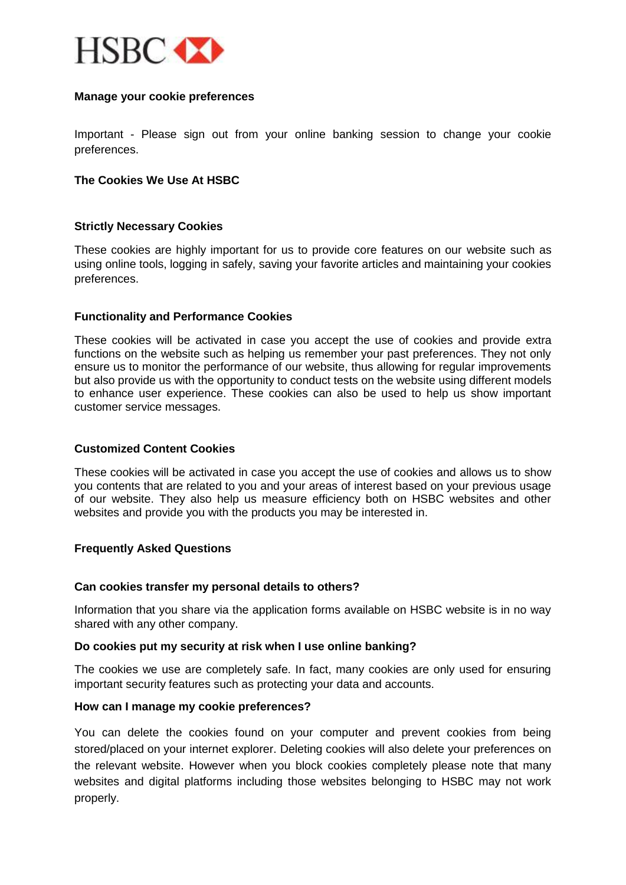

## **Manage your cookie preferences**

Important - Please sign out from your online banking session to change your cookie preferences.

### **The Cookies We Use At HSBC**

### **Strictly Necessary Cookies**

These cookies are highly important for us to provide core features on our website such as using online tools, logging in safely, saving your favorite articles and maintaining your cookies preferences.

### **Functionality and Performance Cookies**

These cookies will be activated in case you accept the use of cookies and provide extra functions on the website such as helping us remember your past preferences. They not only ensure us to monitor the performance of our website, thus allowing for regular improvements but also provide us with the opportunity to conduct tests on the website using different models to enhance user experience. These cookies can also be used to help us show important customer service messages.

### **Customized Content Cookies**

These cookies will be activated in case you accept the use of cookies and allows us to show you contents that are related to you and your areas of interest based on your previous usage of our website. They also help us measure efficiency both on HSBC websites and other websites and provide you with the products you may be interested in.

### **Frequently Asked Questions**

#### **Can cookies transfer my personal details to others?**

Information that you share via the application forms available on HSBC website is in no way shared with any other company.

### **Do cookies put my security at risk when I use online banking?**

The cookies we use are completely safe. In fact, many cookies are only used for ensuring important security features such as protecting your data and accounts.

#### **How can I manage my cookie preferences?**

You can delete the cookies found on your computer and prevent cookies from being stored/placed on your internet explorer. Deleting cookies will also delete your preferences on the relevant website. However when you block cookies completely please note that many websites and digital platforms including those websites belonging to HSBC may not work properly.